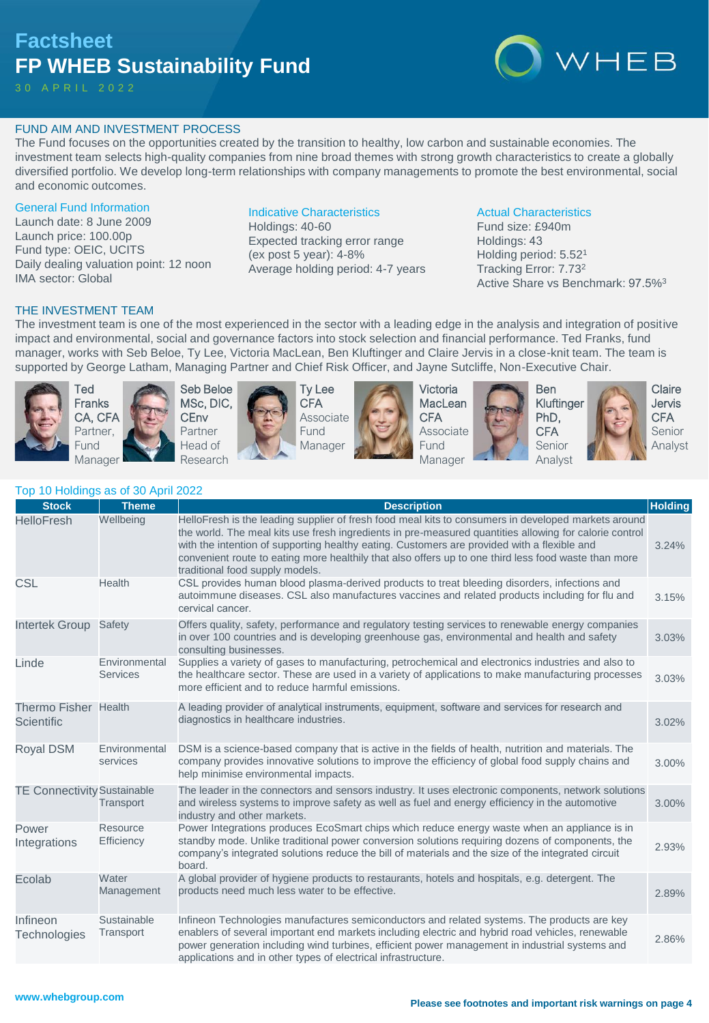# **Factsheet FP WHEB Sustainability Fund**

30 A P R I L 2 0 2 2



# FUND AIM AND INVESTMENT PROCESS

The Fund focuses on the opportunities created by the transition to healthy, low carbon and sustainable economies. The investment team selects high-quality companies from nine broad themes with strong growth characteristics to create a globally diversified portfolio. We develop long-term relationships with company managements to promote the best environmental, social and economic outcomes.

#### General Fund Information

Launch date: 8 June 2009 Launch price: 100.00p Fund type: OEIC, UCITS Daily dealing valuation point: 12 noon IMA sector: Global

# Indicative Characteristics

Holdings: 40-60 Expected tracking error range (ex post 5 year): 4-8% Average holding period: 4-7 years

#### Actual Characteristics

Fund size: £940m Holdings: 43 Holding period: 5.52<sup>1</sup> Tracking Error: 7.73<sup>2</sup> Active Share vs Benchmark: 97.5%<sup>3</sup>

#### THE INVESTMENT TEAM

The investment team is one of the most experienced in the sector with a leading edge in the analysis and integration of positive impact and environmental, social and governance factors into stock selection and financial performance. Ted Franks, fund manager, works with Seb Beloe, Ty Lee, Victoria MacLean, Ben Kluftinger and Claire Jervis in a close-knit team. The team is supported by George Latham, Managing Partner and Chief Risk Officer, and Jayne Sutcliffe, Non-Executive Chair.



Ted Franks CA, CFA Partner, Fund Manager





Ty Lee **CFA** Associate Fund Manager



Victoria **MacLean CFA** Associate Fund Manager







**Claire** Jervis **CFA** Senior Analyst

| <b>Stock</b>                       | <b>Theme</b>                     | <b>Description</b>                                                                                                                                                                                                                                                                                                                                                                                                                                      | <b>Holding</b> |
|------------------------------------|----------------------------------|---------------------------------------------------------------------------------------------------------------------------------------------------------------------------------------------------------------------------------------------------------------------------------------------------------------------------------------------------------------------------------------------------------------------------------------------------------|----------------|
| <b>HelloFresh</b>                  | Wellbeing                        | HelloFresh is the leading supplier of fresh food meal kits to consumers in developed markets around<br>the world. The meal kits use fresh ingredients in pre-measured quantities allowing for calorie control<br>with the intention of supporting healthy eating. Customers are provided with a flexible and<br>convenient route to eating more healthily that also offers up to one third less food waste than more<br>traditional food supply models. | 3.24%          |
| <b>CSL</b>                         | Health                           | CSL provides human blood plasma-derived products to treat bleeding disorders, infections and<br>autoimmune diseases. CSL also manufactures vaccines and related products including for flu and<br>cervical cancer.                                                                                                                                                                                                                                      | 3.15%          |
| <b>Intertek Group</b>              | Safety                           | Offers quality, safety, performance and regulatory testing services to renewable energy companies<br>in over 100 countries and is developing greenhouse gas, environmental and health and safety<br>consulting businesses.                                                                                                                                                                                                                              | 3.03%          |
| Linde                              | Environmental<br><b>Services</b> | Supplies a variety of gases to manufacturing, petrochemical and electronics industries and also to<br>the healthcare sector. These are used in a variety of applications to make manufacturing processes<br>more efficient and to reduce harmful emissions.                                                                                                                                                                                             | 3.03%          |
| <b>Thermo Fisher</b><br>Scientific | Health                           | A leading provider of analytical instruments, equipment, software and services for research and<br>diagnostics in healthcare industries.                                                                                                                                                                                                                                                                                                                | 3.02%          |
| Royal DSM                          | Environmental<br>services        | DSM is a science-based company that is active in the fields of health, nutrition and materials. The<br>company provides innovative solutions to improve the efficiency of global food supply chains and<br>help minimise environmental impacts.                                                                                                                                                                                                         | 3.00%          |
| <b>TE Connectivity Sustainable</b> | Transport                        | The leader in the connectors and sensors industry. It uses electronic components, network solutions<br>and wireless systems to improve safety as well as fuel and energy efficiency in the automotive<br>industry and other markets.                                                                                                                                                                                                                    | 3.00%          |
| Power<br>Integrations              | Resource<br>Efficiency           | Power Integrations produces EcoSmart chips which reduce energy waste when an appliance is in<br>standby mode. Unlike traditional power conversion solutions requiring dozens of components, the<br>company's integrated solutions reduce the bill of materials and the size of the integrated circuit<br>board.                                                                                                                                         | 2.93%          |
| Ecolab                             | Water<br>Management              | A global provider of hygiene products to restaurants, hotels and hospitals, e.g. detergent. The<br>products need much less water to be effective.                                                                                                                                                                                                                                                                                                       | 2.89%          |
| Infineon<br>Technologies           | Sustainable<br>Transport         | Infineon Technologies manufactures semiconductors and related systems. The products are key<br>enablers of several important end markets including electric and hybrid road vehicles, renewable<br>power generation including wind turbines, efficient power management in industrial systems and<br>applications and in other types of electrical infrastructure.                                                                                      | 2.86%          |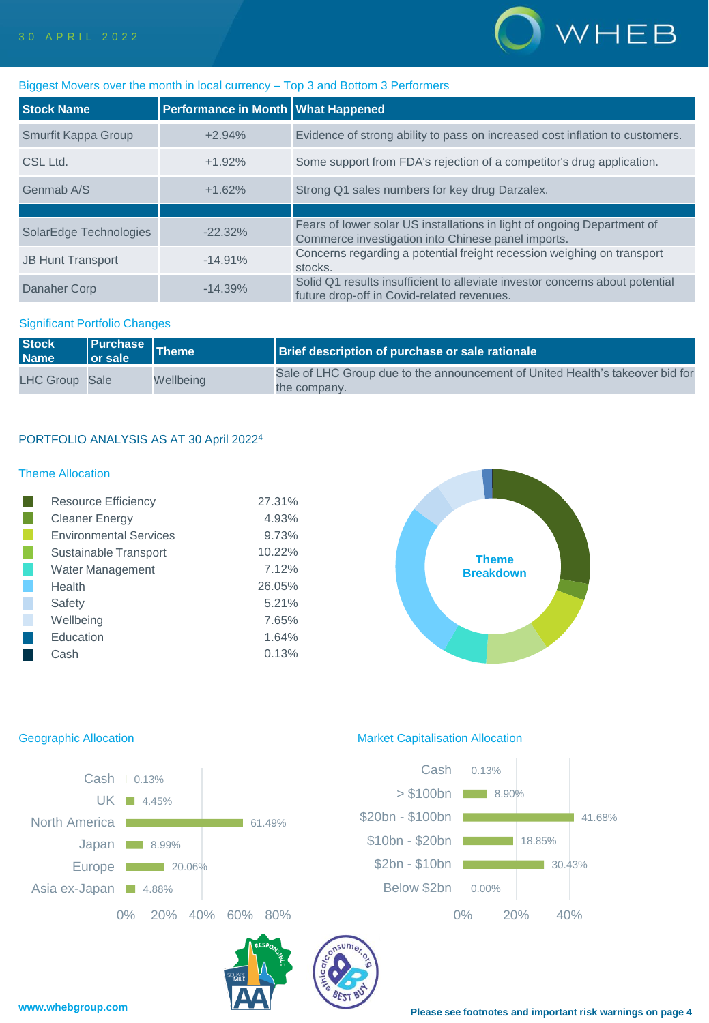

# Biggest Movers over the month in local currency – Top 3 and Bottom 3 Performers

| <b>Stock Name</b>        | Performance in Month   What Happened |                                                                                                                               |
|--------------------------|--------------------------------------|-------------------------------------------------------------------------------------------------------------------------------|
| Smurfit Kappa Group      | $+2.94%$                             | Evidence of strong ability to pass on increased cost inflation to customers.                                                  |
| CSL Ltd.                 | $+1.92%$                             | Some support from FDA's rejection of a competitor's drug application.                                                         |
| Genmab A/S               | $+1.62%$                             | Strong Q1 sales numbers for key drug Darzalex.                                                                                |
|                          |                                      |                                                                                                                               |
| SolarEdge Technologies   | $-22.32\%$                           | Fears of lower solar US installations in light of ongoing Department of<br>Commerce investigation into Chinese panel imports. |
| <b>JB Hunt Transport</b> | $-14.91\%$                           | Concerns regarding a potential freight recession weighing on transport<br>stocks.                                             |
| Danaher Corp             | $-14.39%$                            | Solid Q1 results insufficient to alleviate investor concerns about potential<br>future drop-off in Covid-related revenues.    |

### Significant Portfolio Changes

| <b>Stock</b><br><b>Name</b> | $\blacksquare$ or sale $\blacksquare$ | Purchase Theme | <b>Brief description of purchase or sale rationale</b>                                        |
|-----------------------------|---------------------------------------|----------------|-----------------------------------------------------------------------------------------------|
| LHC Group Sale              |                                       | Wellbeing      | Sale of LHC Group due to the announcement of United Health's takeover bid for<br>the company. |

# PORTFOLIO ANALYSIS AS AT 30 April 2022<sup>4</sup>

# Theme Allocation

| <b>Resource Efficiency</b>    | 27.31% |
|-------------------------------|--------|
| <b>Cleaner Energy</b>         | 4.93%  |
| <b>Environmental Services</b> | 9.73%  |
| Sustainable Transport         | 10.22% |
| Water Management              | 7.12%  |
| Health                        | 26.05% |
| Safety                        | 5.21%  |
| Wellbeing                     | 7.65%  |
| Education                     | 1.64%  |
| Cash                          | 0.13%  |





# Geographic Allocation **Market Capitalisation Allocation**

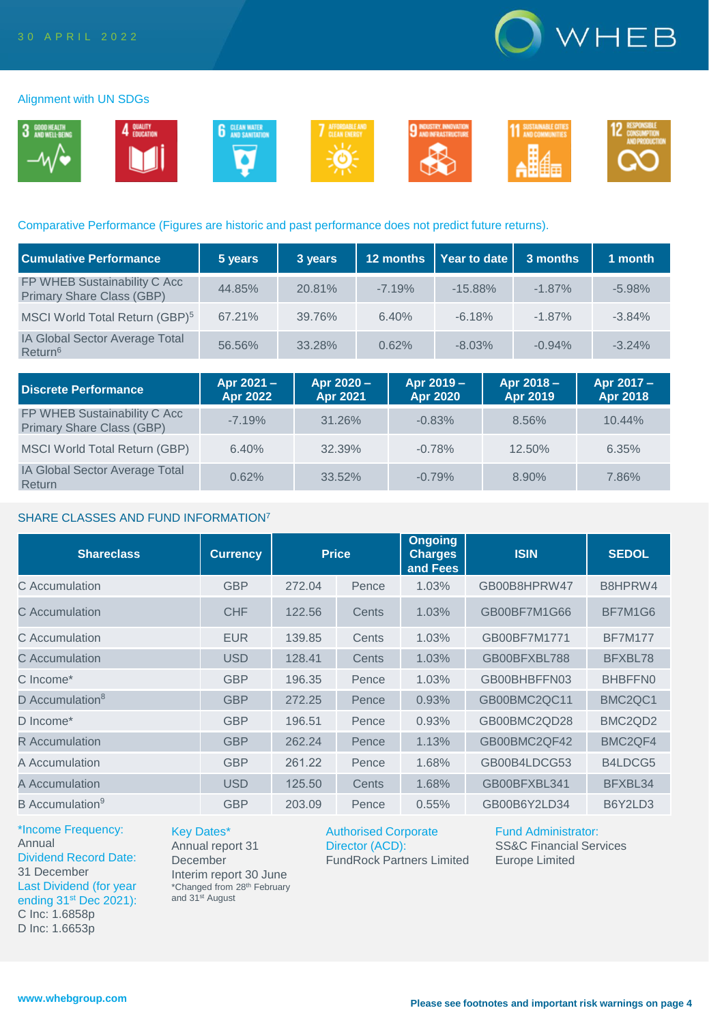

#### Alignment with UN SDGs



#### Comparative Performance (Figures are historic and past performance does not predict future returns).

| <b>Cumulative Performance</b>                             | 5 years | 3 years | 12 months | Year to date | 3 months | 1 month  |
|-----------------------------------------------------------|---------|---------|-----------|--------------|----------|----------|
| FP WHEB Sustainability C Acc<br>Primary Share Class (GBP) | 44.85%  | 20.81%  | $-7.19%$  | $-15.88%$    | $-1.87%$ | $-5.98%$ |
| MSCI World Total Return (GBP) <sup>5</sup>                | 67.21%  | 39.76%  | 6.40%     | $-6.18%$     | $-1.87%$ | $-3.84%$ |
| IA Global Sector Average Total<br>Return <sup>6</sup>     | 56.56%  | 33.28%  | 0.62%     | $-8.03%$     | $-0.94%$ | $-3.24%$ |

| <b>Discrete Performance</b>                                      | Apr 2021 -<br>Apr 2022 | Apr 2020 -<br>Apr 2021 | Apr 2019 -<br>Apr 2020 | Apr 2018 -<br>Apr 2019 | Apr 2017 -<br>Apr 2018 |
|------------------------------------------------------------------|------------------------|------------------------|------------------------|------------------------|------------------------|
| FP WHEB Sustainability C Acc<br><b>Primary Share Class (GBP)</b> | $-7.19%$               | 31.26%                 | $-0.83%$               | 8.56%                  | $10.44\%$              |
| MSCI World Total Return (GBP)                                    | 6.40%                  | 32.39%                 | $-0.78%$               | $12.50\%$              | 6.35%                  |
| <b>IA Global Sector Average Total</b><br>Return                  | 0.62%                  | 33.52%                 | $-0.79%$               | 8.90%                  | 7.86%                  |

#### SHARE CLASSES AND FUND INFORMATION<sup>7</sup>

| <b>Shareclass</b>           | <b>Currency</b> | <b>Price</b> |       | <b>Ongoing</b><br><b>ISIN</b><br><b>Charges</b><br>and Fees |              | <b>SEDOL</b>                     |
|-----------------------------|-----------------|--------------|-------|-------------------------------------------------------------|--------------|----------------------------------|
| C Accumulation              | <b>GBP</b>      | 272.04       | Pence | 1.03%                                                       | GB00B8HPRW47 | B8HPRW4                          |
| C Accumulation              | <b>CHF</b>      | 122.56       | Cents | 1.03%                                                       | GB00BF7M1G66 | BF7M1G6                          |
| C Accumulation              | <b>EUR</b>      | 139.85       | Cents | 1.03%                                                       | GB00BF7M1771 | <b>BF7M177</b>                   |
| C Accumulation              | <b>USD</b>      | 128.41       | Cents | 1.03%                                                       | GB00BFXBL788 | BFXBL78                          |
| C Income*                   | <b>GBP</b>      | 196.35       | Pence | 1.03%                                                       | GB00BHBFFN03 | BHBFFN0                          |
| D Accumulation <sup>8</sup> | <b>GBP</b>      | 272.25       | Pence | 0.93%                                                       | GB00BMC2QC11 | BMC <sub>2</sub> QC <sub>1</sub> |
| D Income*                   | <b>GBP</b>      | 196.51       | Pence | 0.93%                                                       | GB00BMC2QD28 | BMC <sub>2</sub> Q <sub>D2</sub> |
| <b>R</b> Accumulation       | <b>GBP</b>      | 262.24       | Pence | 1.13%                                                       | GB00BMC2QF42 | BMC <sub>2</sub> QF4             |
| A Accumulation              | <b>GBP</b>      | 261.22       | Pence | 1.68%                                                       | GB00B4LDCG53 | B4LDCG5                          |
| A Accumulation              | <b>USD</b>      | 125.50       | Cents | 1.68%                                                       | GB00BFXBL341 | BFXBL34                          |
| B Accumulation <sup>9</sup> | <b>GBP</b>      | 203.09       | Pence | 0.55%                                                       | GB00B6Y2LD34 | B6Y2LD3                          |

\*Income Frequency: Annual Dividend Record Date: 31 December Last Dividend (for year ending 31<sup>st</sup> Dec 2021): C Inc: 1.6858p D Inc: 1.6653p

Key Dates\* Annual report 31 December Interim report 30 June \*Changed from 28th February and 31st August

Authorised Corporate Director (ACD): FundRock Partners Limited Fund Administrator: SS&C Financial Services

Europe Limited